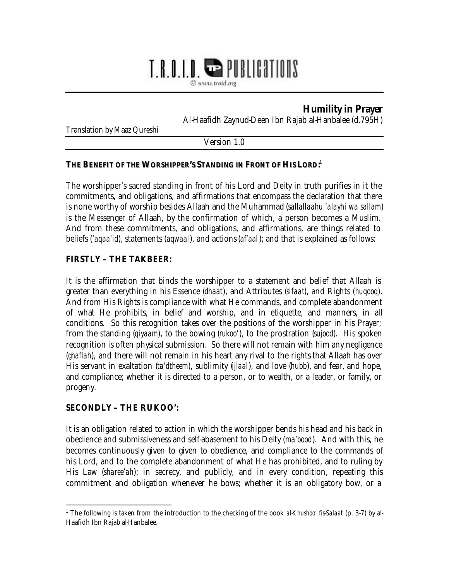# T.R.O.I.D. **WE PUBLICATIONS**

© www.troid.org

# **Humility in Prayer**

Al-Haafidh Zaynud-Deen Ibn Rajab al-Hanbalee (d.795H)

Translation by Maaz Qureshi

Version 1.0

#### **THE BENEFIT OF THE WORSHIPPER'S STANDING IN FRONT OF HIS LORD:** 1

The worshipper's sacred standing in front of his Lord and Deity in truth purifies in it the commitments, and obligations, and affirmations that encompass the declaration that there is none worthy of worship besides Allaah and the Muhammad (*sallallaahu 'alayhi wa sallam*) is the Messenger of Allaah, by the confirmation of which, a person becomes a Muslim. And from these commitments, and obligations, and affirmations, are things related to beliefs (*'aqaa'id*), statements (*aqwaal*), and actions (*af'aal*); and that is explained as follows:

#### **FIRSTLY – THE TAKBEER:**

It is the affirmation that binds the worshipper to a statement and belief that Allaah is greater than everything in his Essence (*dhaat*), and Attributes (*sifaat*), and Rights (*huqooq*). And from His Rights is compliance with what He commands, and complete abandonment of what He prohibits, in belief and worship, and in etiquette, and manners, in all conditions. So this recognition takes over the positions of the worshipper in his Prayer; from the standing (*qiyaam*), to the bowing (*rukoo'*), to the prostration (*sujood*). His spoken recognition is often physical submission. So there will not remain with him any negligence (*ghaflah*), and there will not remain in his heart any rival to the rights that Allaah has over His servant in exaltation (*ta'dtheem*), sublimity (*ijlaal*), and love (*hubb*), and fear, and hope, and compliance; whether it is directed to a person, or to wealth, or a leader, or family, or progeny.

#### **SECONDLY – THE RUKOO':**

It is an obligation related to action in which the worshipper bends his head and his back in obedience and submissiveness and self-abasement to his Deity (*ma'bood*). And with this, he becomes continuously given to given to obedience, and compliance to the commands of his Lord, and to the complete abandonment of what He has prohibited, and to ruling by His Law (*sharee'ah*); in secrecy, and publicly, and in every condition, repeating this commitment and obligation whenever he bows; whether it is an obligatory bow, or a

 $\overline{a}$ <sup>1</sup> The following is taken from the introduction to the checking of the book *al-Khushoo' fis-Salaat* (p. 3-7) by al-Haafidh Ibn Rajab al-Hanbalee.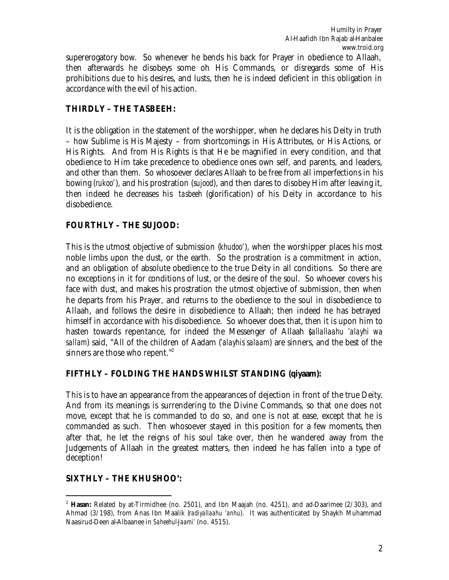supererogatory bow. So whenever he bends his back for Prayer in obedience to Allaah, then afterwards he disobeys some oh His Commands, or disregards some of His prohibitions due to his desires, and lusts, then he is indeed deficient in this obligation in accordance with the evil of his action.

## **THIRDLY – THE TASBEEH:**

It is the obligation in the statement of the worshipper, when he declares his Deity in truth – how Sublime is His Majesty – from shortcomings in His Attributes, or His Actions, or His Rights. And from His Rights is that He be magnified in every condition, and that obedience to Him take precedence to obedience ones own self, and parents, and leaders, and other than them. So whosoever declares Allaah to be free from all imperfections in his bowing (*rukoo'*), and his prostration (*sujood*), and then dares to disobey Him after leaving it, then indeed he decreases his *tasbeeh* (glorification) of his Deity in accordance to his disobedience.

# **FOURTHLY – THE SUJOOD:**

This is the utmost objective of submission (*khudoo'*), when the worshipper places his most noble limbs upon the dust, or the earth. So the prostration is a commitment in action, and an obligation of absolute obedience to the true Deity in all conditions. So there are no exceptions in it for conditions of lust, or the desire of the soul. So whoever covers his face with dust, and makes his prostration the utmost objective of submission, then when he departs from his Prayer, and returns to the obedience to the soul in disobedience to Allaah, and follows the desire in disobedience to Allaah; then indeed he has betrayed himself in accordance with his disobedience. So whoever does that, then it is upon him to hasten towards repentance, for indeed the Messenger of Allaah (*sallallaahu 'alayhi wa sallam*) said, "All of the children of Aadam (*'alayhis salaam*) are sinners, and the best of the sinners are those who repent."<sup>2</sup>

#### **FIFTHLY – FOLDING THE HANDS WHILST STANDING (qiyaam):**

This is to have an appearance from the appearances of dejection in front of the true Deity. And from its meanings is surrendering to the Divine Commands, so that one does not move, except that he is commanded to do so, and one is not at ease, except that he is commanded as such. Then whosoever stayed in this position for a few moments, then after that, he let the reigns of his soul take over, then he wandered away from the Judgements of Allaah in the greatest matters, then indeed he has fallen into a type of deception!

# **SIXTHLY – THE KHUSHOO':**

<sup>2</sup> **Hasan:** Related by at-Tirmidhee (no. 2501), and Ibn Maajah (no. 4251), and ad-Daarimee (2/303), and Ahmad (3/198), from Anas Ibn Maalik (*radiyallaahu 'anhu*). It was authenticated by Shaykh Muhammad Naasirud-Deen al-Albaanee in *Saheehul-Jaami'* (no. 4515).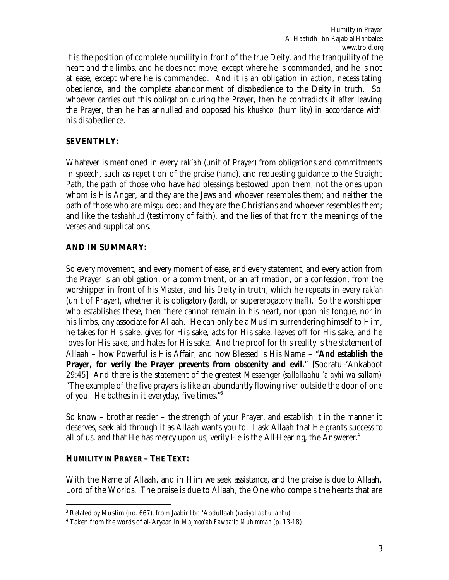It is the position of complete humility in front of the true Deity, and the tranquility of the heart and the limbs, and he does not move, except where he is commanded, and he is not at ease, except where he is commanded. And it is an obligation in action, necessitating obedience, and the complete abandonment of disobedience to the Deity in truth. So whoever carries out this obligation during the Prayer, then he contradicts it after leaving the Prayer, then he has annulled and opposed his *khushoo'* (humility) in accordance with his disobedience.

#### **SEVENTHLY:**

Whatever is mentioned in every *rak'ah* (unit of Prayer) from obligations and commitments in speech, such as repetition of the praise (*hamd*), and requesting guidance to the Straight Path, the path of those who have had blessings bestowed upon them, not the ones upon whom is His Anger, and they are the Jews and whoever resembles them; and neither the path of those who are misguided; and they are the Christians and whoever resembles them; and like the *tashahhud* (testimony of faith), and the lies of that from the meanings of the verses and supplications.

#### **AND IN SUMMARY:**

So every movement, and every moment of ease, and every statement, and every action from the Prayer is an obligation, or a commitment, or an affirmation, or a confession, from the worshipper in front of his Master, and his Deity in truth, which he repeats in every *rak'ah* (unit of Prayer), whether it is obligatory (*fard*), or supererogatory (*nafl*). So the worshipper who establishes these, then there cannot remain in his heart, nor upon his tongue, nor in his limbs, any associate for Allaah. He can only be a Muslim surrendering himself to Him, he takes for His sake, gives for His sake, acts for His sake, leaves off for His sake, and he loves for His sake, and hates for His sake. And the proof for this reality is the statement of Allaah – how Powerful is His Affair, and how Blessed is His Name – "**And establish the Prayer, for verily the Prayer prevents from obscenity and evil.**" [Sooratul-'Ankaboot 29:45] And there is the statement of the greatest Messenger (*sallallaahu 'alayhi wa sallam*): "The example of the five prayers is like an abundantly flowing river outside the door of one of you. He bathes in it everyday, five times."<sup>3</sup>

So know – brother reader – the strength of your Prayer, and establish it in the manner it deserves, seek aid through it as Allaah wants you to. I ask Allaah that He grants success to all of us, and that He has mercy upon us, verily He is the All-Hearing, the Answerer.<sup>4</sup>

#### **HUMILITY IN PRAYER– THE TEXT:**

 $\overline{a}$ 

With the Name of Allaah, and in Him we seek assistance, and the praise is due to Allaah, Lord of the Worlds. The praise is due to Allaah, the One who compels the hearts that are

<sup>3</sup> Related by Muslim (no. 667), from Jaabir Ibn 'Abdullaah (*radiyallaahu 'anhu*)

<sup>4</sup> Taken from the words of al-'Aryaan in *Majmoo'ah Fawaa'id Muhimmah* (p. 13-18)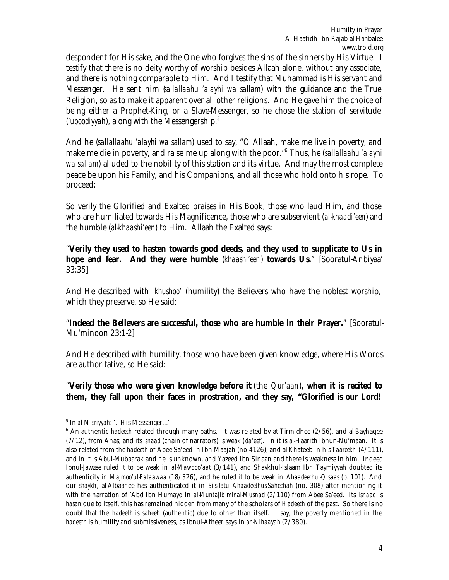despondent for His sake, and the One who forgives the sins of the sinners by His Virtue. I testify that there is no deity worthy of worship besides Allaah alone, without any associate, and there is nothing comparable to Him. And I testify that Muhammad is His servant and Messenger. He sent him (*sallallaahu 'alayhi wa sallam*) with the guidance and the True Religion, so as to make it apparent over all other religions. And He gave him the choice of being either a Prophet-King, or a Slave-Messenger, so he chose the station of servitude (*'uboodiyyah*), along with the Messengership.<sup>5</sup>

And he (*sallallaahu 'alayhi wa sallam*) used to say, "O Allaah, make me live in poverty, and make me die in poverty, and raise me up along with the poor."<sup>6</sup> Thus, he (*sallallaahu 'alayhi wa sallam*) alluded to the nobility of this station and its virtue. And may the most complete peace be upon his Family, and his Companions, and all those who hold onto his rope. To proceed:

So verily the Glorified and Exalted praises in His Book, those who laud Him, and those who are humiliated towards His Magnificence, those who are subservient (*al-khaadi'een*) and the humble (*al-khaashi'een*) to Him. Allaah the Exalted says:

"**Verily they used to hasten towards good deeds, and they used to supplicate to Us in hope and fear. And they were humble** (*khaashi'een*) **towards Us.**" [Sooratul-Anbiyaa' 33:35]

And He described with *khushoo'* (humility) the Believers who have the noblest worship, which they preserve, so He said:

"**Indeed the Believers are successful, those who are humble in their Prayer.**" [Sooratul-Mu'minoon 23:1-2]

And He described with humility, those who have been given knowledge, where His Words are authoritative, so He said:

"**Verily those who were given knowledge before it** (the *Qur'aan*)**, when it is recited to them, they fall upon their faces in prostration, and they say, "Glorified is our Lord!** 

<sup>5</sup> In *al-Misriyyah*: '…His Messenger…'

<sup>&</sup>lt;sup>6</sup> An authentic *hadeeth* related through many paths. It was related by at-Tirmidhee (2/56), and al-Bayhaqee (7/12), from Anas; and its *isnaad* (chain of narrators) is weak (*da'eef*). In it is al-Haarith Ibnun-Nu'maan. It is also related from the *hadeeth* of Abee Sa'eed in Ibn Maajah (no.4126), and al-Khateeb in his *Taareekh* (4/111), and in it is Abul-Mubaarak and he is unknown, and Yazeed Ibn Sinaan and there is weakness in him. Indeed Ibnul-Jawzee ruled it to be weak in *al-Mawdoo'aat* (3/141), and Shaykhul-Islaam Ibn Taymiyyah doubted its authenticity in *Majmoo'ul-Fataawaa* (18/326), and he ruled it to be weak in *Ahaadeethul-Qisaas* (p. 101). And our *shaykh*, al-Albaanee has authenticated it in *Silsilatul-Ahaadeethus-Saheehah* (no. 308) after mentioning it with the narration of 'Abd Ibn Humayd in *al-Muntajib minal-Musnad* (2/110) from Abee Sa'eed. Its *isnaad* is *hasan* due to itself, this has remained hidden from many of the scholars of *Hadeeth* of the past. So there is no doubt that the *hadeeth* is *saheeh* (authentic) due to other than itself. I say, the poverty mentioned in the *hadeeth* is humility and submissiveness, as Ibnul-Atheer says in *an-Nihaayah* (2/380).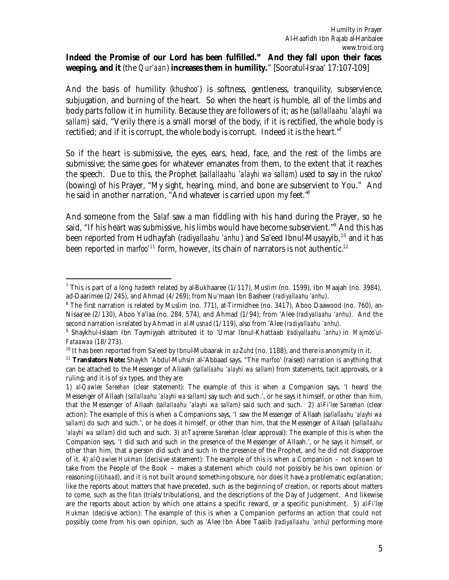# **Indeed the Promise of our Lord has been fulfilled." And they fall upon their faces weeping, and it** (the *Qur'aan*) **increases them in humility.**" [Sooratul-Israa' 17:107-109]

And the basis of humility (*khushoo'*) is softness, gentleness, tranquility, subservience, subjugation, and burning of the heart. So when the heart is humble, all of the limbs and body parts follow it in humility. Because they are followers of it; as he (*sallallaahu 'alayhi wa sallam*) said, "Verily there is a small morsel of the body, if it is rectified, the whole body is rectified; and if it is corrupt, the whole body is corrupt. Indeed it is the heart."

So if the heart is submissive, the eyes, ears, head, face, and the rest of the limbs are submissive; the same goes for whatever emanates from them, to the extent that it reaches the speech. Due to this, the Prophet (*sallallaahu 'alayhi wa sallam*) used to say in the *rukoo'* (bowing) of his Prayer, "My sight, hearing, mind, and bone are subservient to You." And he said in another narration, "And whatever is carried upon my feet."<sup>8</sup>

And someone from the *Salaf* saw a man fiddling with his hand during the Prayer, so he said, "If his heart was submissive, his limbs would have become subservient."<sup>9</sup> And this has been reported from Hudhayfah (*radiyallaahu 'anhu*) and Sa'eed Ibnul-Musayyib, <sup>10</sup> and it has been reported in *marfoo*<sup> $11$ </sup> form, however, its chain of narrators is not authentic.<sup>12</sup>

 $\overline{a}$ <sup>7</sup> This is part of a long *hadeeth* related by al-Bukhaaree (1/117), Muslim (no. 1599), Ibn Maajah (no. 3984), ad-Daarimee (2/245), and Ahmad (4/269); from Nu'maan Ibn Basheer (*radiyallaahu 'anhu*).

<sup>&</sup>lt;sup>8</sup> The first narration is related by Muslim (no. 771), at-Tirmidhee (no. 3417), Aboo Daawood (no. 760), an-Nisaa'ee (2/130), Aboo Ya'laa (no. 284, 574), and Ahmad (1/94); from 'Alee (*radiyallaahu 'anhu*). And the second narration is related by Ahmad in *al-Musnad* (1/119), also from 'Alee (*radiyallaahu 'anhu*).

<sup>9</sup> Shaykhul-Islaam Ibn Taymiyyah attributed it to 'Umar Ibnul-Khattaab (*radiyallaahu 'anhu*) in *Majmoo'ul-Fataawaa* (18/273).

<sup>&</sup>lt;sup>10</sup> It has been reported from Sa'eed by Ibnul-Mubaarak in az-Zuhd (no. 1188), and there is anonymity in it.

<sup>11</sup> **Translators Note:** Shaykh 'Abdul-Muhsin al-'Abbaad says, "The *marfoo'* (raised) narration is anything that can be attached to the Messenger of Allaah (*sallallaahu 'alayhi wa sallam*) from statements, tacit approvals, or a ruling; and it is of six types, and they are:

<sup>1)</sup> *al-Qawlee Sareehan* (clear statement): The example of this is when a Companion says, 'I heard the Messenger of Allaah (*sallallaahu 'alayhi wa sallam*) say such and such.', or he says it himself, or other than him, that the Messenger of Allaah (*sallallaahu 'alayhi wa sallam*) said such and such. 2) *al-Fi'lee Sareehan* (clear action): The example of this is when a Companions says, 'I saw the Messenger of Allaah (*sallallaahu 'alayhi wa sallam*) do such and such.', or he does it himself, or other than him, that the Messenger of Allaah (*sallallaahu 'alayhi wa sallam*) did such and such. 3) *at-Taqreeree Sareehan* (clear approval): The example of this is when the Companion says, 'I did such and such in the presence of the Messenger of Allaah.', or he says it himself, or other than him, that a person did such and such in the presence of the Prophet, and he did not disapprove of it. 4) *al-Qawlee Hukman* (decisive statement): The example of this is when a Companion – not known to take from the People of the Book – makes a statement which could not possibly be his own opinion or reasoning (*ijtihaad*), and it is not built around something obscure, nor does it have a problematic explanation; like the reports about matters that have preceded, such as the beginning of creation, or reports about matters to come, such as the *fitan* (trials/tribulations), and the descriptions of the Day of Judgement. And likewise are the reports about action by which one attains a specific reward, or a specific punishment. 5) *al-Fi'lee Hukman* (decisive action): The example of this is when a Companion performs an action that could not possibly come from his own opinion, such as 'Alee Ibn Abee Taalib (*radiyallaahu 'anhu*) performing more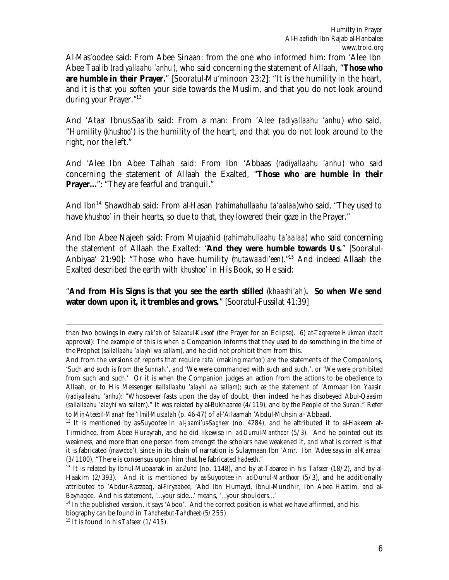Al-Mas'oodee said: From Abee Sinaan: from the one who informed him: from 'Alee Ibn Abee Taalib (*radiyallaahu 'anhu*), who said concerning the statement of Allaah, "**Those who are humble in their Prayer.**" [Sooratul-Mu'minoon 23:2]: "It is the humility in the heart, and it is that you soften your side towards the Muslim, and that you do not look around during your Prayer."<sup>13</sup>

And 'Ataa' Ibnus-Saa'ib said: From a man: From 'Alee (*radiyallaahu 'anhu*) who said, "Humility (*khushoo'*) is the humility of the heart, and that you do not look around to the right, nor the left."

And 'Alee Ibn Abee Talhah said: From Ibn 'Abbaas (*radiyallaahu 'anhu*) who said concerning the statement of Allaah the Exalted, "**Those who are humble in their Prayer...**": "They are fearful and tranquil."

And Ibn<sup>14</sup> Shawdhab said: From al-Hasan (*rahimahullaahu ta'aalaa*)who said, "They used to have *khushoo'* in their hearts, so due to that, they lowered their gaze in the Prayer."

And Ibn Abee Najeeh said: From Mujaahid (*rahimahullaahu ta'aalaa*) who said concerning the statement of Allaah the Exalted: "**And they were humble towards Us.**" [Sooratul-Anbiyaa' 21:90]: "Those who have humility (*mutawaadi'een*)."<sup>15</sup> And indeed Allaah the Exalted described the earth with *khushoo'* in His Book, so He said:

"**And from His Signs is that you see the earth stilled** (*khaashi'ah*)**. So when We send water down upon it, it trembles and grows.**" [Sooratul-Fussilat 41:39]

than two bowings in every *rak'ah* of *Salaatul-Kusoof* (the Prayer for an Eclipse). 6) *at-Taqreeree Hukman* (tacit approval): The example of this is when a Companion informs that they used to do something in the time of the Prophet (*sallallaahu 'alayhi wa sallam*), and he did not prohibit them from this.

And from the versions of reports that require *rafa'* (making *marfoo'*) are the statements of the Companions, 'Such and such is from the *Sunnah*.', and 'We were commanded with such and such.', or 'We were prohibited from such and such.' Or it is when the Companion judges an action from the actions to be obedience to Allaah, or to His Messenger (*sallallaahu 'alayhi wa sallam*); such as the statement of 'Ammaar Ibn Yaasir (*radiyallaahu 'anhu*): "Whosoever fasts upon the day of doubt, then indeed he has disobeyed Abul-Qaasim (*sallallaahu 'alayhi wa sallam*)." It was related by al-Bukhaaree (4/119), and by the People of the *Sunan*." Refer to *Min-Ateebil-Manah fee 'Ilmil-Mustalah* (p. 46-47) of al-'Allaamah 'Abdul-Muhsin al-'Abbaad.

<sup>&</sup>lt;sup>12</sup> It is mentioned by as-Suyootee in *al-Jaami'us-Sagheer* (no. 4284), and he attributed it to al-Hakeem at-Tirmidhee, from Abee Hurayrah, and he did likewise in *ad-Durrul-Manthoor* (5/3). And he pointed out its weakness, and more than one person from amongst the scholars have weakened it, and what is correct is that it is fabricated (*mawdoo'*), since in its chain of narration is Sulaymaan Ibn 'Amr. Ibn 'Adee says in *al-Kamaal* (3/1100), "There is consensus upon him that he fabricated *hadeeth*."

<sup>13</sup> It is related by Ibnul-Mubaarak in *az-Zuhd* (no. 1148), and by at-Tabaree in his *Tafseer* (18/2), and by al-Haakim (2/393). And it is mentioned by as-Suyootee in *ad-Durrul-Manthoor* (5/3), and he additionally attributed to 'Abdur-Razzaaq, al-Firyaabee, 'Abd Ibn Humayd, Ibnul-Mundhir, Ibn Abee Haatim, and al-Bayhaqee. And his statement, '…your side…' means, '…your shoulders…'

 $14$  In the published version, it says 'Aboo'. And the correct position is what we have affirmed, and his biography can be found in *Tahdheebut-Tahdheeb* (5/255).

<sup>15</sup> It is found in his *Tafseer* (1/415).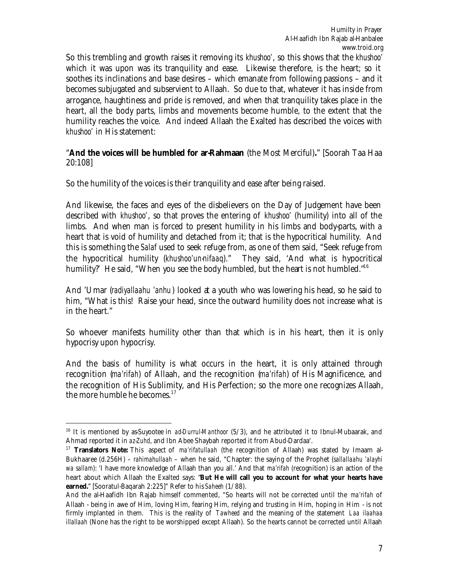So this trembling and growth raises it removing its *khushoo'*, so this shows that the *khushoo'* which it was upon was its tranquility and ease. Likewise therefore, is the heart; so it soothes its inclinations and base desires – which emanate from following passions – and it becomes subjugated and subservient to Allaah. So due to that, whatever it has inside from arrogance, haughtiness and pride is removed, and when that tranquility takes place in the heart, all the body parts, limbs and movements become humble, to the extent that the humility reaches the voice. And indeed Allaah the Exalted has described the voices with *khushoo'* in His statement:

#### "**And the voices will be humbled for ar-Rahmaan** (the Most Merciful)**.**" [Soorah Taa Haa 20:108]

So the humility of the voices is their tranquility and ease after being raised.

And likewise, the faces and eyes of the disbelievers on the Day of Judgement have been described with *khushoo'*, so that proves the entering of *khushoo'* (humility) into all of the limbs. And when man is forced to present humility in his limbs and body-parts, with a heart that is void of humility and detached from it; that is the hypocritical humility. And this is something the *Salaf* used to seek refuge from, as one of them said, "Seek refuge from the hypocritical humility (*khushoo'un-nifaaq*)." They said, 'And what is hypocritical humility?' He said, "When you see the body humbled, but the heart is not humbled."<sup>16</sup>

And 'Umar (*radiyallaahu 'anhu*) looked at a youth who was lowering his head, so he said to him, "What is this! Raise your head, since the outward humility does not increase what is in the heart."

So whoever manifests humility other than that which is in his heart, then it is only hypocrisy upon hypocrisy.

And the basis of humility is what occurs in the heart, it is only attained through recognition (*ma'rifah*) of Allaah, and the recognition (*ma'rifah*) of His Magnificence, and the recognition of His Sublimity, and His Perfection; so the more one recognizes Allaah, the more humble he becomes.<sup>17</sup>

<sup>16</sup> It is mentioned by as-Suyootee in *ad-Durrul-Manthoor* (5/3), and he attributed it to Ibnul-Mubaarak, and Ahmad reported it in *az-Zuhd*, and Ibn Abee Shaybah reported it from Abud-Dardaa'.

<sup>17</sup> **Translators Note:** This aspect of *ma'rifatullaah* (the recognition of Allaah) was stated by Imaam al-Bukhaaree (d.256H) – *rahimahullaah* – when he said, "Chapter: the saying of the Prophet (*sallallaahu 'alayhi wa sallam*): 'I have more knowledge of Allaah than you all.' And that *ma'rifah* (recognition) is an action of the heart about which Allaah the Exalted says: "**But He will call you to account for what your hearts have earned.**" [Sooratul-Baqarah 2:225]" Refer to his *Saheeh* (1/88).

And the al-Haafidh Ibn Rajab himself commented, "So hearts will not be corrected until the *ma'rifah* of Allaah - being in awe of Him, loving Him, fearing Him, relying and trusting in Him, hoping in Him - is not firmly implanted in them. This is the reality of *Tawheed* and the meaning of the statement *Laa ilaahaa illallaah* (None has the right to be worshipped except Allaah). So the hearts cannot be corrected until Allaah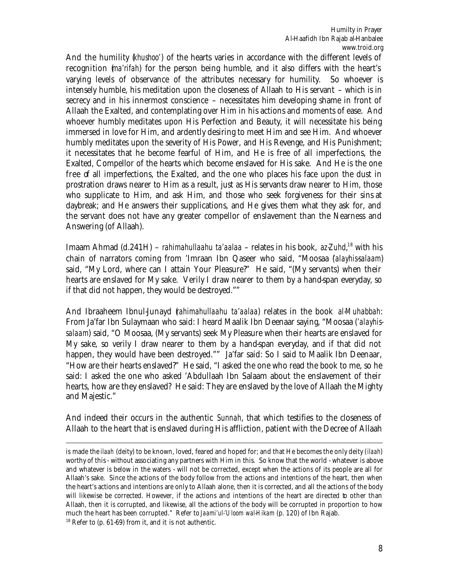And the humility (*khushoo'*) of the hearts varies in accordance with the different levels of recognition (*ma'rifah*) for the person being humble, and it also differs with the heart's varying levels of observance of the attributes necessary for humility. So whoever is intensely humble, his meditation upon the closeness of Allaah to His servant – which is in secrecy and in his innermost conscience – necessitates him developing shame in front of Allaah the Exalted, and contemplating over Him in his actions and moments of ease. And whoever humbly meditates upon His Perfection and Beauty, it will necessitate his being immersed in love for Him, and ardently desiring to meet Him and see Him. And whoever humbly meditates upon the severity of His Power, and His Revenge, and His Punishment; it necessitates that he become fearful of Him, and He is free of all imperfections, the Exalted, Compellor of the hearts which become enslaved for His sake. And He is the one free of all imperfections, the Exalted, and the one who places his face upon the dust in prostration draws nearer to Him as a result, just as His servants draw nearer to Him, those who supplicate to Him, and ask Him, and those who seek forgiveness for their sins at daybreak; and He answers their supplications, and He gives them what they ask for, and the servant does not have any greater compellor of enslavement than the Nearness and Answering (of Allaah).

Imaam Ahmad (d.241H) – *rahimahullaahu ta'aalaa* – relates in his book, *az-Zuhd*, <sup>18</sup> with his chain of narrators coming from 'Imraan Ibn Qaseer who said, "Moosaa (*'alayhis-salaam*) said, "My Lord, where can I attain Your Pleasure?" He said, "(My servants) when their hearts are enslaved for My sake. Verily I draw nearer to them by a hand-span everyday, so if that did not happen, they would be destroyed.""

And Ibraaheem Ibnul-Junayd (*rahimahullaahu ta'aalaa*) relates in the book *al-Muhabbah*: From Ja'far Ibn Sulaymaan who said: I heard Maalik Ibn Deenaar saying, "Moosaa (*'alayhissalaam*) said, "O Moosaa, (My servants) seek My Pleasure when their hearts are enslaved for My sake, so verily I draw nearer to them by a hand-span everyday, and if that did not happen, they would have been destroyed."" Ja'far said: So I said to Maalik Ibn Deenaar, "How are their hearts enslaved?" He said, "I asked the one who read the book to me, so he said: I asked the one who asked 'Abdullaah Ibn Salaam about the enslavement of their hearts, how are they enslaved? He said: They are enslaved by the love of Allaah the Mighty and Majestic."

And indeed their occurs in the authentic *Sunnah*, that which testifies to the closeness of Allaah to the heart that is enslaved during His affliction, patient with the Decree of Allaah

is made the *ilaah* (deity) to be known, loved, feared and hoped for; and that He becomes the only deity (*ilaah*) worthy of this - without associating any partners with Him in this. So know that the world - whatever is above and whatever is below in the waters - will not be corrected, except when the actions of its people are all for Allaah's sake. Since the actions of the body follow from the actions and intentions of the heart, then when the heart's actions and intentions are only to Allaah alone, then it is corrected, and all the actions of the body will likewise be corrected. However, if the actions and intentions of the heart are directed to other than Allaah, then it is corrupted, and likewise, all the actions of the body will be corrupted in proportion to how much the heart has been corrupted." Refer to *Jaami'ul-'Uloom wal-Hikam* (p. 120) of Ibn Rajab.

 $18$  Refer to (p. 61-69) from it, and it is not authentic.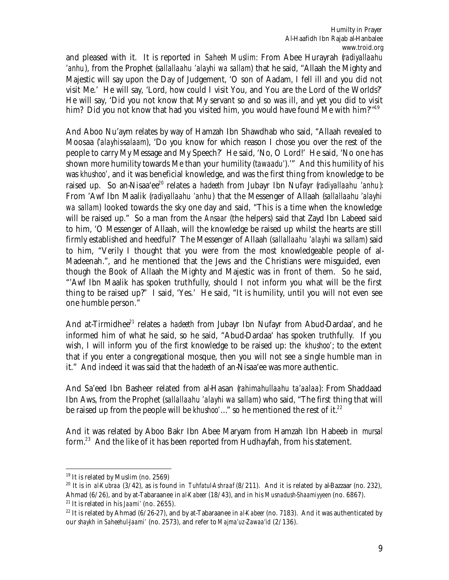and pleased with it. It is reported in *Saheeh Muslim*: From Abee Hurayrah (*radiyallaahu 'anhu*), from the Prophet (*sallallaahu 'alayhi wa sallam*) that he said, "Allaah the Mighty and Majestic will say upon the Day of Judgement, 'O son of Aadam, I fell ill and you did not visit Me.' He will say, 'Lord, how could I visit You, and You are the Lord of the Worlds?' He will say, 'Did you not know that My servant so and so was ill, and yet you did to visit him? Did you not know that had you visited him, you would have found Me with him?"<sup>19</sup>

And Aboo Nu'aym relates by way of Hamzah Ibn Shawdhab who said, "Allaah revealed to Moosaa (*'alayhis-salaam*), 'Do you know for which reason I chose you over the rest of the people to carry My Message and My Speech?' He said, 'No, O Lord!' He said, 'No one has shown more humility towards Me than your humility (*tawaadu'*).'" And this humility of his was *khushoo'*, and it was beneficial knowledge, and was the first thing from knowledge to be raised up. So an-Nisaa'ee<sup>20</sup> relates a *hadeeth* from Jubayr Ibn Nufayr (radiyallaahu 'anhu): From 'Awf Ibn Maalik (*radiyallaahu 'anhu*) that the Messenger of Allaah (*sallallaahu 'alayhi wa sallam*) looked towards the sky one day and said, "This is a time when the knowledge will be raised up." So a man from the *Ansaar* (the helpers) said that Zayd Ibn Labeed said to him, 'O Messenger of Allaah, will the knowledge be raised up whilst the hearts are still firmly established and heedful?' The Messenger of Allaah (*sallallaahu 'alayhi wa sallam*) said to him, "Verily I thought that you were from the most knowledgeable people of al-Madeenah.", and he mentioned that the Jews and the Christians were misguided, even though the Book of Allaah the Mighty and Majestic was in front of them. So he said, "'Awf Ibn Maalik has spoken truthfully, should I not inform you what will be the first thing to be raised up?" I said, 'Yes.' He said, "It is humility, until you will not even see one humble person."

And at-Tirmidhee<sup>21</sup> relates a *hadeeth* from Jubayr Ibn Nufayr from Abud-Dardaa', and he informed him of what he said, so he said, "Abud-Dardaa' has spoken truthfully. If you wish, I will inform you of the first knowledge to be raised up: the *khushoo'*; to the extent that if you enter a congregational mosque, then you will not see a single humble man in it." And indeed it was said that the *hadeeth* of an-Nisaa'ee was more authentic.

And Sa'eed Ibn Basheer related from al-Hasan (*rahimahullaahu ta'aalaa*): From Shaddaad Ibn Aws, from the Prophet (*sallallaahu 'alayhi wa sallam*) who said, "The first thing that will be raised up from the people will be *khushoo'*…" so he mentioned the rest of it.<sup>22</sup>

And it was related by Aboo Bakr Ibn Abee Maryam from Hamzah Ibn Habeeb in *mursal* form.<sup>23</sup> And the like of it has been reported from Hudhayfah, from his statement.

 $\overline{a}$ <sup>19</sup> It is related by Muslim (no. 2569)

<sup>20</sup> It is in *al-Kubraa* (3/42), as is found in *Tuhfatul-Ashraaf* (8/211). And it is related by al-Bazzaar (no. 232), Ahmad (6/26), and by at-Tabaraanee in *al-Kabeer* (18/43), and in his *Musnadush-Shaamiyyeen* (no. 6867). <sup>21</sup> It is related in his *Jaami'* (no. 2655).

<sup>22</sup> It is related by Ahmad (6/26-27), and by at-Tabaraanee in *al-Kabeer* (no. 7183). And it was authenticated by our *shaykh* in *Saheehul-Jaami'* (no. 2573), and refer to *Majma'uz-Zawaa'id* (2/136).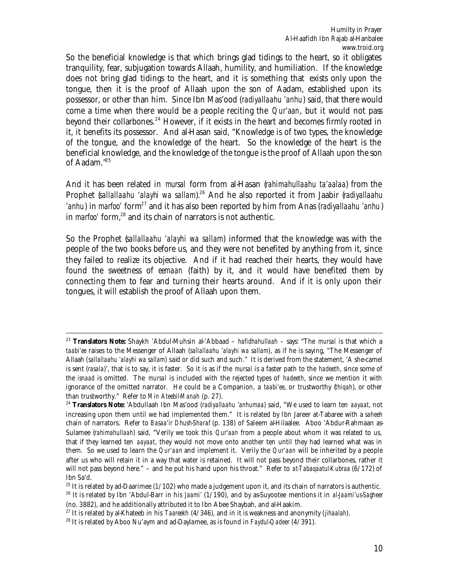So the beneficial knowledge is that which brings glad tidings to the heart, so it obligates tranquility, fear, subjugation towards Allaah, humility, and humiliation. If the knowledge does not bring glad tidings to the heart, and it is something that exists only upon the tongue, then it is the proof of Allaah upon the son of Aadam, established upon its possessor, or other than him. Since Ibn Mas'ood (*radiyallaahu 'anhu*) said, that there would come a time when there would be a people reciting the *Qur'aan*, but it would not pass beyond their collarbones.<sup>24</sup> However, if it exists in the heart and becomes firmly rooted in it, it benefits its possessor. And al-Hasan said, "Knowledge is of two types, the knowledge of the tongue, and the knowledge of the heart. So the knowledge of the heart is the beneficial knowledge, and the knowledge of the tongue is the proof of Allaah upon the son of Aadam."<sup>25</sup>

And it has been related in *mursal* form from al-Hasan (*rahimahullaahu ta'aalaa*) from the Prophet (sallallaahu 'alayhi wa sallam).<sup>26</sup> And he also reported it from Jaabir (radiyallaahu *'anhu*) in *marfoo'* form<sup>27</sup> and it has also been reported by him from Anas (*radivallaahu 'anhu*) in *marfoo'* form,<sup>28</sup> and its chain of narrators is not authentic.

So the Prophet (*sallallaahu 'alayhi wa sallam*) informed that the knowledge was with the people of the two books before us, and they were not benefited by anything from it, since they failed to realize its objective. And if it had reached their hearts, they would have found the sweetness of *eemaan* (faith) by it, and it would have benefited them by connecting them to fear and turning their hearts around. And if it is only upon their tongues, it will establish the proof of Allaah upon them.

 $\overline{a}$ <sup>23</sup> **Translators Note:** Shaykh 'Abdul-Muhsin al-'Abbaad – *hafidhahullaah* – says: "The *mursal* is that which a *taabi'ee* raises to the Messenger of Allaah (*sallallaahu 'alayhi wa sallam*), as if he is saying, "The Messenger of Allaah (*sallallaahu 'alayhi wa sallam*) said or did such and such." It is derived from the statement, 'A she-camel is sent (*rasala*)', that is to say, it is faster. So it is as if the *mursal* is a faster path to the *hadeeth*, since some of the *isnaad* is omitted. The *mursal* is included with the rejected types of *hadeeth*, since we mention it with ignorance of the omitted narrator. He could be a Companion, a *taabi'ee*, or trustworthy (*thiqah*), or other than trustworthy." Refer to *Min Ateebil-Manah* (p. 27).

<sup>24</sup> **Translators Note:** 'Abdullaah Ibn Mas'ood (*radiyallaahu 'anhumaa*) said, "We used to learn ten *aayaat*, not increasing upon them until we had implemented them." It is related by Ibn Jareer at-Tabaree with a *saheeh* chain of narrators. Refer to *Basaa'ir Dhush-Sharaf* (p. 138) of Saleem al-Hilaalee. Aboo 'Abdur-Rahmaan as-Sulamee (*rahimahullaah*) said, "Verily we took this *Qur'aan* from a people about whom it was related to us, that if they learned ten *aayaat*, they would not move onto another ten until they had learned what was in them. So we used to learn the *Qur'aan* and implement it. Verily the *Qur'aan* will be inherited by a people after us who will retain it in a way that water is retained. It will not pass beyond their collarbones, rather it will not pass beyond here." – and he put his hand upon his throat." Refer to *at-Tabaqaatul-Kubraa* (6/172) of Ibn Sa'd.

 $25$  It is related by ad-Daarimee (1/102) who made a judgement upon it, and its chain of narrators is authentic.

<sup>26</sup> It is related by Ibn 'Abdul-Barr in his *Jaami'* (1/190), and by as-Suyootee mentions it in *al-Jaami'us-Sagheer* (no. 3882), and he additionally attributed it to Ibn Abee Shaybah, and al-Haakim.

<sup>27</sup> It is related by al-Khateeb in his *Taareekh* (4/346), and in it is weakness and anonymity (*jihaalah*).

<sup>28</sup> It is related by Aboo Nu'aym and ad-Daylamee, as is found in *Faydul-Qadeer* (4/391).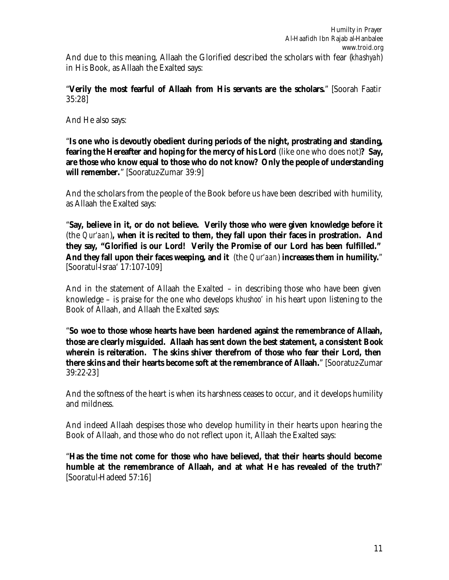"**Verily the most fearful of Allaah from His servants are the scholars.**" [Soorah Faatir 35:28]

And He also says:

"**Is one who is devoutly obedient during periods of the night, prostrating and standing, fearing the Hereafter and hoping for the mercy of his Lord** (like one who does not)**? Say, are those who know equal to those who do not know? Only the people of understanding will remember.**" [Sooratuz-Zumar 39:9]

And the scholars from the people of the Book before us have been described with humility, as Allaah the Exalted says:

"**Say, believe in it, or do not believe. Verily those who were given knowledge before it** (the *Qur'aan*)**, when it is recited to them, they fall upon their faces in prostration. And they say, "Glorified is our Lord! Verily the Promise of our Lord has been fulfilled." And they fall upon their faces weeping, and it** (the *Qur'aan*) **increases them in humility.**" [Sooratul-Israa' 17:107-109]

And in the statement of Allaah the Exalted – in describing those who have been given knowledge – is praise for the one who develops *khushoo'* in his heart upon listening to the Book of Allaah, and Allaah the Exalted says:

"**So woe to those whose hearts have been hardened against the remembrance of Allaah, those are clearly misguided. Allaah has sent down the best statement, a consistent Book wherein is reiteration. The skins shiver therefrom of those who fear their Lord, then there skins and their hearts become soft at the remembrance of Allaah.**" [Sooratuz-Zumar 39:22-23]

And the softness of the heart is when its harshness ceases to occur, and it develops humility and mildness.

And indeed Allaah despises those who develop humility in their hearts upon hearing the Book of Allaah, and those who do not reflect upon it, Allaah the Exalted says:

"**Has the time not come for those who have believed, that their hearts should become humble at the remembrance of Allaah, and at what He has revealed of the truth?**" [Sooratul-Hadeed 57:16]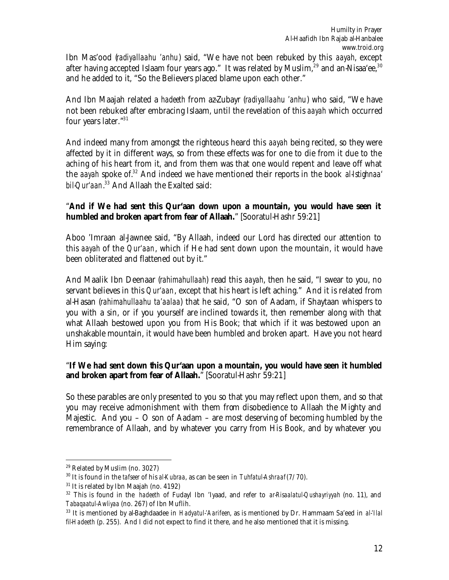Ibn Mas'ood (*radiyallaahu 'anhu*) said, "We have not been rebuked by this *aayah*, except after having accepted Islaam four years ago." It was related by Muslim,<sup>29</sup> and an-Nisaa ee,<sup>30</sup> and he added to it, "So the Believers placed blame upon each other."

And Ibn Maajah related a *hadeeth* from az-Zubayr (*radiyallaahu 'anhu*) who said, "We have not been rebuked after embracing Islaam, until the revelation of this *aayah* which occurred four years later."<sup>31</sup>

And indeed many from amongst the righteous heard this *aayah* being recited, so they were affected by it in different ways, so from these effects was for one to die from it due to the aching of his heart from it, and from them was that one would repent and leave off what the *aayah* spoke of.<sup>32</sup> And indeed we have mentioned their reports in the book *al-Istighnaa' bil-Qur'aan*. <sup>33</sup> And Allaah the Exalted said:

#### "**And if We had sent this Qur'aan down upon a mountain, you would have seen it humbled and broken apart from fear of Allaah.**" [Sooratul-Hashr 59:21]

Aboo 'Imraan al-Jawnee said, "By Allaah, indeed our Lord has directed our attention to this *aayah* of the *Qur'aan*, which if He had sent down upon the mountain, it would have been obliterated and flattened out by it."

And Maalik Ibn Deenaar (*rahimahullaah*) read this *aayah*, then he said, "I swear to you, no servant believes in this *Qur'aan*, except that his heart is left aching." And it is related from al-Hasan (*rahimahullaahu ta'aalaa*) that he said, "O son of Aadam, if Shaytaan whispers to you with a sin, or if you yourself are inclined towards it, then remember along with that what Allaah bestowed upon you from His Book; that which if it was bestowed upon an unshakable mountain, it would have been humbled and broken apart. Have you not heard Him saying:

#### "**If We had sent down this Qur'aan upon a mountain, you would have seen it humbled and broken apart from fear of Allaah.**" [Sooratul-Hashr 59:21]

So these parables are only presented to you so that you may reflect upon them, and so that you may receive admonishment with them from disobedience to Allaah the Mighty and Majestic. And you – O son of Aadam – are most deserving of becoming humbled by the remembrance of Allaah, and by whatever you carry from His Book, and by whatever you

 $\overline{a}$ <sup>29</sup> Related by Muslim (no. 3027)

<sup>30</sup> It is found in the *tafseer* of his *al-Kubraa*, as can be seen in *Tuhfatul-Ashraaf* (7/70).

<sup>&</sup>lt;sup>31</sup> It is related by Ibn Maajah (no. 4192)

<sup>32</sup> This is found in the *hadeeth* of Fudayl Ibn 'Iyaad, and refer to *ar-Risaalatul-Qushayriyyah* (no. 11), and *Tabaqaatul-Awliyaa* (no. 267) of Ibn Muflih.

<sup>33</sup> It is mentioned by al-Baghdaadee in *Hadyatul-'Aarifeen*, as is mentioned by Dr. Hammaam Sa'eed in *al-'Ilal fil-Hadeeth* (p. 255). And I did not expect to find it there, and he also mentioned that it is missing.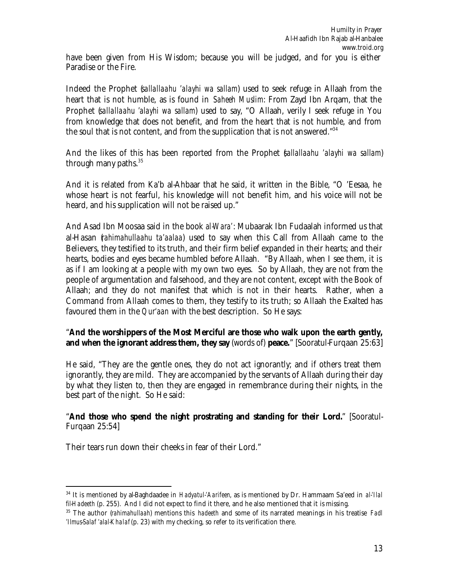have been given from His Wisdom; because you will be judged, and for you is either Paradise or the Fire.

Indeed the Prophet (*sallallaahu 'alayhi wa sallam*) used to seek refuge in Allaah from the heart that is not humble, as is found in *Saheeh Muslim*: From Zayd Ibn Arqam, that the Prophet (*sallallaahu 'alayhi wa sallam*) used to say, "O Allaah, verily I seek refuge in You from knowledge that does not benefit, and from the heart that is not humble, and from the soul that is not content, and from the supplication that is not answered." $34$ 

And the likes of this has been reported from the Prophet (*sallallaahu 'alayhi wa sallam*) through many paths. $35$ 

And it is related from Ka'b al-Ahbaar that he said, it written in the Bible, "O 'Eesaa, he whose heart is not fearful, his knowledge will not benefit him, and his voice will not be heard, and his supplication will not be raised up."

And Asad Ibn Moosaa said in the book *al-Wara'*: Mubaarak Ibn Fudaalah informed us that al-Hasan (*rahimahullaahu ta'aalaa*) used to say when this Call from Allaah came to the Believers, they testified to its truth, and their firm belief expanded in their hearts; and their hearts, bodies and eyes became humbled before Allaah. "By Allaah, when I see them, it is as if I am looking at a people with my own two eyes. So by Allaah, they are not from the people of argumentation and falsehood, and they are not content, except with the Book of Allaah; and they do not manifest that which is not in their hearts. Rather, when a Command from Allaah comes to them, they testify to its truth; so Allaah the Exalted has favoured them in the *Qur'aan* with the best description. So He says:

#### "**And the worshippers of the Most Merciful are those who walk upon the earth gently, and when the ignorant address them, they say** (words of) **peace.**" [Sooratul-Furqaan 25:63]

He said, "They are the gentle ones, they do not act ignorantly; and if others treat them ignorantly, they are mild. They are accompanied by the servants of Allaah during their day by what they listen to, then they are engaged in remembrance during their nights, in the best part of the night. So He said:

#### "**And those who spend the night prostrating and standing for their Lord.**" [Sooratul-Furqaan 25:54]

Their tears run down their cheeks in fear of their Lord."

<sup>34</sup> It is mentioned by al-Baghdaadee in *Hadyatul-'Aarifeen*, as is mentioned by Dr. Hammaam Sa'eed in *al-'Ilal fil-Hadeeth* (p. 255). And I did not expect to find it there, and he also mentioned that it is missing.

<sup>35</sup> The author (*rahimahullaah*) mentions this *hadeeth* and some of its narrated meanings in his treatise *Fadl 'Ilmus-Salaf 'alal-Khalaf* (p. 23) with my checking, so refer to its verification there.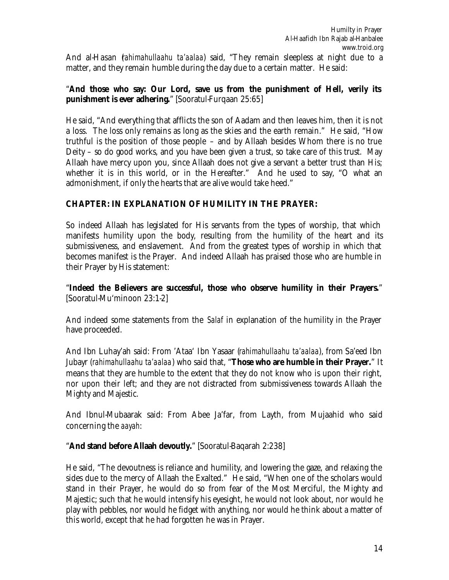And al-Hasan (*rahimahullaahu ta'aalaa*) said, "They remain sleepless at night due to a matter, and they remain humble during the day due to a certain matter. He said:

#### "**And those who say: Our Lord, save us from the punishment of Hell, verily its punishment is ever adhering.**" [Sooratul-Furqaan 25:65]

He said, "And everything that afflicts the son of Aadam and then leaves him, then it is not a loss. The loss only remains as long as the skies and the earth remain." He said, "How truthful is the position of those people – and by Allaah besides Whom there is no true Deity – so do good works, and you have been given a trust, so take care of this trust. May Allaah have mercy upon you, since Allaah does not give a servant a better trust than His; whether it is in this world, or in the Hereafter." And he used to say, "O what an admonishment, if only the hearts that are alive would take heed."

## **CHAPTER: IN EXPLANATION OF HUMILITY IN THE PRAYER:**

So indeed Allaah has legislated for His servants from the types of worship, that which manifests humility upon the body, resulting from the humility of the heart and its submissiveness, and enslavement. And from the greatest types of worship in which that becomes manifest is the Prayer. And indeed Allaah has praised those who are humble in their Prayer by His statement:

#### "**Indeed the Believers are successful, those who observe humility in their Prayers.**" [Sooratul-Mu'minoon 23:1-2]

And indeed some statements from the *Salaf* in explanation of the humility in the Prayer have proceeded.

And Ibn Luhay'ah said: From 'Ataa' Ibn Yasaar (*rahimahullaahu ta'aalaa*), from Sa'eed Ibn Jubayr (*rahimahullaahu ta'aalaa*) who said that, "**Those who are humble in their Prayer.**" It means that they are humble to the extent that they do not know who is upon their right, nor upon their left; and they are not distracted from submissiveness towards Allaah the Mighty and Majestic.

And Ibnul-Mubaarak said: From Abee Ja'far, from Layth, from Mujaahid who said concerning the *aayah*:

#### "**And stand before Allaah devoutly.**" [Sooratul-Baqarah 2:238]

He said, "The devoutness is reliance and humility, and lowering the gaze, and relaxing the sides due to the mercy of Allaah the Exalted." He said, "When one of the scholars would stand in their Prayer, he would do so from fear of the Most Merciful, the Mighty and Majestic; such that he would intensify his eyesight, he would not look about, nor would he play with pebbles, nor would he fidget with anything, nor would he think about a matter of this world, except that he had forgotten he was in Prayer.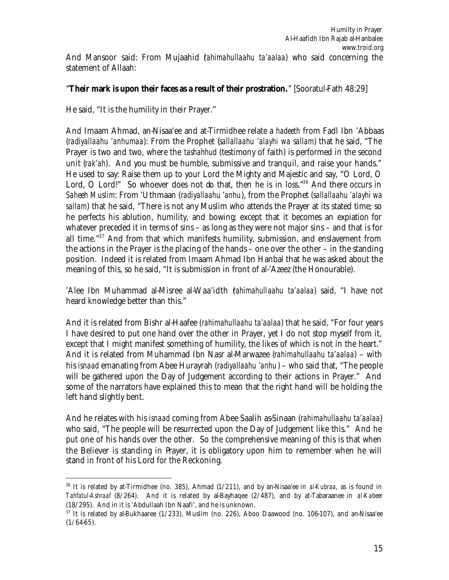#### "**Their mark is upon their faces as a result of their prostration.**" [Sooratul-Fath 48:29]

He said, "It is the humility in their Prayer."

 $\overline{a}$ 

And Imaam Ahmad, an-Nisaa'ee and at-Tirmidhee relate a *hadeeth* from Fadl Ibn 'Abbaas (*radiyallaahu 'anhumaa*): From the Prophet (*sallallaahu 'alayhi wa sallam*) that he said, "The Prayer is two and two, where the *tashahhud* (testimony of faith) is performed in the second unit (*rak'ah*). And you must be humble, submissive and tranquil, and raise your hands." He used to say: Raise them up to your Lord the Mighty and Majestic and say, "O Lord, O Lord, O Lord!" So whoever does not do that, then he is in loss."<sup>36</sup> And there occurs in *Saheeh Muslim*: From 'Uthmaan (*radiyallaahu 'anhu*), from the Prophet (*sallallaahu 'alayhi wa sallam*) that he said, "There is not any Muslim who attends the Prayer at its stated time; so he perfects his ablution, humility, and bowing; except that it becomes an expiation for whatever preceded it in terms of sins – as long as they were not major sins – and that is for all time."<sup>37</sup> And from that which manifests humility, submission, and enslavement from the actions in the Prayer is the placing of the hands – one over the other – in the standing position. Indeed it is related from Imaam Ahmad Ibn Hanbal that he was asked about the meaning of this, so he said, "It is submission in front of al-'Azeez (the Honourable).

'Alee Ibn Muhammad al-Misree al-Waa'idth (*rahimahullaahu ta'aalaa*) said, "I have not heard knowledge better than this."

And it is related from Bishr al-Haafee (*rahimahullaahu ta'aalaa*) that he said, "For four years I have desired to put one hand over the other in Prayer, yet I do not stop myself from it, except that I might manifest something of humility, the likes of which is not in the heart." And it is related from Muhammad Ibn Nasr al-Marwazee (*rahimahullaahu ta'aalaa*) – with his *isnaad* emanating from Abee Hurayrah (*radiyallaahu 'anhu* ) – who said that, "The people will be gathered upon the Day of Judgement according to their actions in Prayer." And some of the narrators have explained this to mean that the right hand will be holding the left hand slightly bent.

And he relates with his *isnaad* coming from Abee Saalih as-Sinaan (*rahimahullaahu ta'aalaa*) who said, "The people will be resurrected upon the Day of Judgement like this." And he put one of his hands over the other. So the comprehensive meaning of this is that when the Believer is standing in Prayer, it is obligatory upon him to remember when he will stand in front of his Lord for the Reckoning.

<sup>36</sup> It is related by at-Tirmidhee (no. 385), Ahmad (1/211), and by an-Nisaa'ee in *al-Kubraa*, as is found in *Tahfatul-Ashraaf* (8/264). And it is related by al-Bayhaqee (2/487), and by at-Tabaraanee in *al-Kabeer* (18/295). And in it is 'Abdullaah Ibn Naafi', and he is unknown.

<sup>&</sup>lt;sup>37</sup> It is related by al-Bukhaaree (1/233), Muslim (no. 226), Aboo Daawood (no. 106-107), and an-Nisaa'ee  $(1/64-65)$ .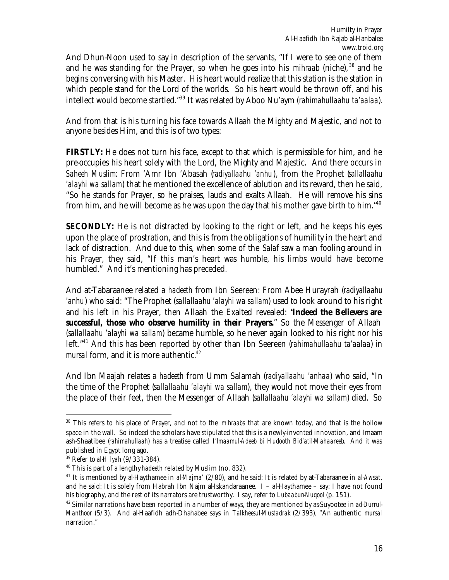And Dhun-Noon used to say in description of the servants, "If I were to see one of them and he was standing for the Prayer, so when he goes into his *mihraab* (niche), <sup>38</sup> and he begins conversing with his Master. His heart would realize that this station is the station in which people stand for the Lord of the worlds. So his heart would be thrown off, and his intellect would become startled."<sup>39</sup> It was related by Aboo Nu'aym (*rahimahullaahu ta'aalaa*).

And from that is his turning his face towards Allaah the Mighty and Majestic, and not to anyone besides Him, and this is of two types:

**FIRSTLY:** He does not turn his face, except to that which is permissible for him, and he pre-occupies his heart solely with the Lord, the Mighty and Majestic. And there occurs in *Saheeh Muslim*: From 'Amr Ibn 'Abasah (*radiyallaahu 'anhu*), from the Prophet (*sallallaahu 'alayhi wa sallam*) that he mentioned the excellence of ablution and its reward, then he said, "So he stands for Prayer, so he praises, lauds and exalts Allaah. He will remove his sins from him, and he will become as he was upon the day that his mother gave birth to him."<sup>40</sup>

**SECONDLY:** He is not distracted by looking to the right or left, and he keeps his eyes upon the place of prostration, and this is from the obligations of humility in the heart and lack of distraction. And due to this, when some of the *Salaf* saw a man fooling around in his Prayer, they said, "If this man's heart was humble, his limbs would have become humbled." And it's mentioning has preceded.

And at-Tabaraanee related a *hadeeth* from Ibn Seereen: From Abee Hurayrah (*radiyallaahu 'anhu*) who said: "The Prophet (*sallallaahu 'alayhi wa sallam*) used to look around to his right and his left in his Prayer, then Allaah the Exalted revealed: "**Indeed the Believers are successful, those who observe humility in their Prayers.**" So the Messenger of Allaah (*sallallaahu 'alayhi wa sallam*) became humble, so he never again looked to his right nor his left."<sup>41</sup> And this has been reported by other than Ibn Seereen (*rahimahullaahu ta'aalaa*) in *mursal* form, and it is more authentic.<sup>42</sup>

And Ibn Maajah relates a *hadeeth* from Umm Salamah (*radiyallaahu 'anhaa*) who said, "In the time of the Prophet (*sallallaahu 'alayhi wa sallam*), they would not move their eyes from the place of their feet, then the Messenger of Allaah (*sallallaahu 'alayhi wa sallam*) died. So

<sup>38</sup> This refers to his place of Prayer, and not to the *mihraabs* that are known today, and that is the hollow space in the wall. So indeed the scholars have stipulated that this is a newly-invented innovation, and Imaam ash-Shaatibee (*rahimahullaah*) has a treatise called *I'lmaamul-Adeeb bi Hudooth Bid'atil-Mahaareeb*. And it was published in Egypt long ago.

<sup>39</sup> Refer to *al-Hilyah* (9/331-384).

<sup>40</sup> This is part of a lengthy *hadeeth* related by Muslim (no. 832).

<sup>41</sup> It is mentioned by al-Haythamee in *al-Majma'* (2/80), and he said: It is related by at-Tabaraanee in *al-Awsat*, and he said: It is solely from Habrah Ibn Najm al-Iskandaraanee. I – al-Haythamee – say: I have not found his biography, and the rest of its narrators are trustworthy. I say, refer to *Lubaabun-Nuqool* (p. 151).

<sup>42</sup> Similar narrations have been reported in a number of ways, they are mentioned by as-Suyootee in *ad-Durrul-Manthoor* (5/3). And al-Haafidh adh-Dhahabee says in *Talkheesul-Mustadrak* (2/393), "An authentic *mursal* narration."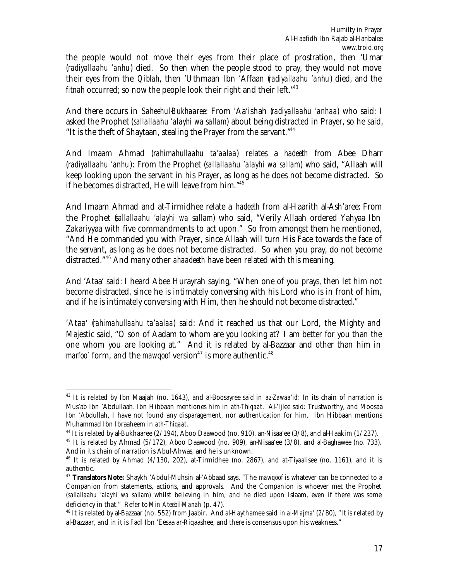the people would not move their eyes from their place of prostration, then 'Umar (*radiyallaahu 'anhu*) died. So then when the people stood to pray, they would not move their eyes from the *Qiblah*, then 'Uthmaan Ibn 'Affaan (*radiyallaahu 'anhu*) died, and the *fitnah* occurred; so now the people look their right and their left."<sup>43</sup>

And there occurs in *Saheehul-Bukhaaree*: From 'Aa'ishah (*radiyallaahu 'anhaa*) who said: I asked the Prophet (*sallallaahu 'alayhi wa sallam*) about being distracted in Prayer, so he said, "It is the theft of Shaytaan, stealing the Prayer from the servant."<sup>44</sup>

And Imaam Ahmad (*rahimahullaahu ta'aalaa*) relates a *hadeeth* from Abee Dharr (*radiyallaahu 'anhu*): From the Prophet (*sallallaahu 'alayhi wa sallam*) who said, "Allaah will keep looking upon the servant in his Prayer, as long as he does not become distracted. So if he becomes distracted, He will leave from him."<sup>45</sup>

And Imaam Ahmad and at-Tirmidhee relate a *hadeeth* from al-Haarith al-Ash'aree: From the Prophet (*sallallaahu 'alayhi wa sallam*) who said, "Verily Allaah ordered Yahyaa Ibn Zakariyyaa with five commandments to act upon." So from amongst them he mentioned, "And He commanded you with Prayer, since Allaah will turn His Face towards the face of the servant, as long as he does not become distracted. So when you pray, do not become distracted."<sup>46</sup> And many other *ahaadeeth* have been related with this meaning.

And 'Ataa' said: I heard Abee Hurayrah saying, "When one of you prays, then let him not become distracted, since he is intimately conversing with his Lord who is in front of him, and if he is intimately conversing with Him, then he should not become distracted."

'Ataa' (*rahimahullaahu ta'aalaa*) said: And it reached us that our Lord, the Mighty and Majestic said, "O son of Aadam to whom are you looking at? I am better for you than the one whom you are looking at." And it is related by al-Bazzaar and other than him in *marfoo'* form, and the *mawqoof* version<sup>47</sup> is more authentic.<sup>48</sup>

<sup>43</sup> It is related by Ibn Maajah (no. 1643), and al-Boosayree said in *az-Zawaa'id*: In its chain of narration is Mus'ab Ibn 'Abdullaah. Ibn Hibbaan mentiones him in *ath-Thiqaat*. Al-'Ijlee said: Trustworthy, and Moosaa Ibn 'Abdullah, I have not found any disparagement, nor authentication for him. Ibn Hibbaan mentions Muhammad Ibn Ibraaheem in *ath-Thiqaat*.

<sup>&</sup>lt;sup>44</sup> It is related by al-Bukhaaree (2/194), Aboo Daawood (no. 910), an-Nisaa'ee (3/8), and al-Haakim (1/237).

<sup>&</sup>lt;sup>45</sup> It is related by Ahmad ( $5/172$ ), Aboo Daawood (no. 909), an-Nisaa'ee ( $3/8$ ), and al-Baghawee (no. 733). And in its chain of narration is Abul-Ahwas, and he is unknown.

<sup>46</sup> It is related by Ahmad (4/130, 202), at-Tirmidhee (no. 2867), and at-Tiyaalisee (no. 1161), and it is authentic.

<sup>47</sup> **Translators Note:** Shaykh 'Abdul-Muhsin al-'Abbaad says, "The *mawqoof* is whatever can be connected to a Companion from statements, actions, and approvals. And the Companion is whoever met the Prophet (*sallallaahu 'alayhi wa sallam*) whilst believing in him, and he died upon Islaam, even if there was some deficiency in that." Refer to *Min Ateebil-Manah* (p. 47).

<sup>48</sup> It is related by al-Bazzaar (no. 552) from Jaabir. And al-Haythamee said in *al-Majma'* (2/80), "It is related by al-Bazzaar, and in it is Fadl Ibn 'Eesaa ar-Riqaashee, and there is consensus upon his weakness."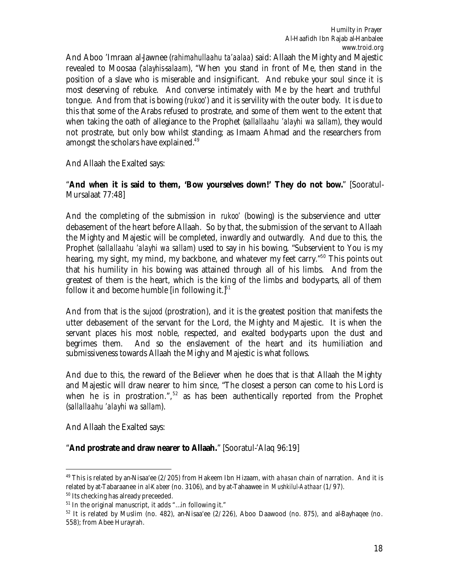And Aboo 'Imraan al-Jawnee (*rahimahullaahu ta'aalaa*) said: Allaah the Mighty and Majestic revealed to Moosaa (*'alayhis-salaam*), "When you stand in front of Me, then stand in the position of a slave who is miserable and insignificant. And rebuke your soul since it is most deserving of rebuke. And converse intimately with Me by the heart and truthful tongue. And from that is bowing (*rukoo'*) and it is servility with the outer body. It is due to this that some of the Arabs refused to prostrate, and some of them went to the extent that when taking the oath of allegiance to the Prophet (*sallallaahu 'alayhi wa sallam*), they would not prostrate, but only bow whilst standing; as Imaam Ahmad and the researchers from amongst the scholars have explained.<sup>49</sup>

And Allaah the Exalted says:

"**And when it is said to them, 'Bow yourselves down!' They do not bow.**" [Sooratul-Mursalaat 77:48]

And the completing of the submission in *rukoo'* (bowing) is the subservience and utter debasement of the heart before Allaah. So by that, the submission of the servant to Allaah the Mighty and Majestic will be completed, inwardly and outwardly. And due to this, the Prophet (*sallallaahu 'alayhi wa sallam*) used to say in his bowing, "Subservient to You is my hearing, my sight, my mind, my backbone, and whatever my feet carry."<sup>50</sup> This points out that his humility in his bowing was attained through all of his limbs. And from the greatest of them is the heart, which is the king of the limbs and body-parts, all of them follow it and become humble [in following it.] $51$ 

And from that is the *sujood* (prostration), and it is the greatest position that manifests the utter debasement of the servant for the Lord, the Mighty and Majestic. It is when the servant places his most noble, respected, and exalted body-parts upon the dust and begrimes them. And so the enslavement of the heart and its humiliation and submissiveness towards Allaah the Mighy and Majestic is what follows.

And due to this, the reward of the Believer when he does that is that Allaah the Mighty and Majestic will draw nearer to him since, "The closest a person can come to his Lord is when he is in prostration.",  $52$  as has been authentically reported from the Prophet (*sallallaahu 'alayhi wa sallam*).

And Allaah the Exalted says:

 $\overline{a}$ 

"**And prostrate and draw nearer to Allaah.**" [Sooratul-'Alaq 96:19]

<sup>49</sup> This is related by an-Nisaa'ee (2/205) from Hakeem Ibn Hizaam, with a *hasan* chain of narration. And it is related by at-Tabaraanee in *al-Kabeer* (no. 3106), and by at-Tahaawee in *Mushkilul-Aathaar* (1/97).

<sup>50</sup> Its checking has already preceeded.

 $51$  In the original manuscript, it adds "...in following it."

 $52$  It is related by Muslim (no. 482), an-Nisaa'ee (2/226), Aboo Daawood (no. 875), and al-Bayhaqee (no. 558); from Abee Hurayrah.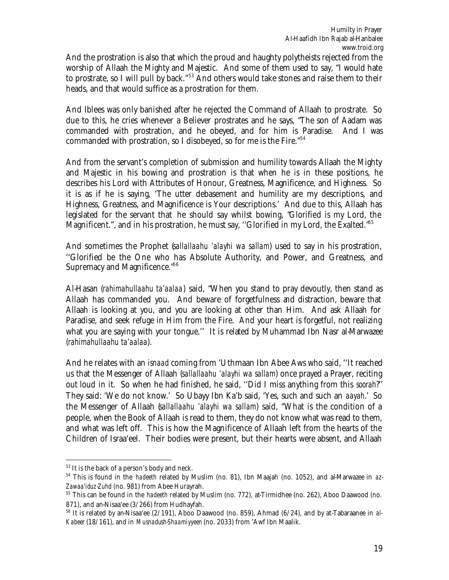And the prostration is also that which the proud and haughty polytheists rejected from the worship of Allaah the Mighty and Majestic. And some of them used to say, "I would hate to prostrate, so I will pull by back."<sup>53</sup> And others would take stones and raise them to their heads, and that would suffice as a prostration for them.

And Iblees was only banished after he rejected the Command of Allaah to prostrate. So due to this, he cries whenever a Believer prostrates and he says, "The son of Aadam was commanded with prostration, and he obeyed, and for him is Paradise. And I was commanded with prostration, so I disobeyed, so for me is the Fire.<sup>"54</sup>

And from the servant's completion of submission and humility towards Allaah the Mighty and Majestic in his bowing and prostration is that when he is in these positions, he describes his Lord with Attributes of Honour, Greatness, Magnificence, and Highness. So it is as if he is saying, 'The utter debasement and humility are my descriptions, and Highness, Greatness, and Magnificence is Your descriptions.' And due to this, Allaah has legislated for the servant that he should say whilst bowing, "Glorified is my Lord, the Magnificent.", and in his prostration, he must say, "Glorified in my Lord, the Exalted."<sup>55</sup>

And sometimes the Prophet (*sallallaahu 'alayhi wa sallam*) used to say in his prostration, ''Glorified be the One who has Absolute Authority, and Power, and Greatness, and Supremacy and Magnificence."<sup>56</sup>

Al-Hasan (*rahimahullaahu ta'aalaa*) said, "When you stand to pray devoutly, then stand as Allaah has commanded you. And beware of forgetfulness and distraction, beware that Allaah is looking at you, and you are looking at other than Him. And ask Allaah for Paradise, and seek refuge in Him from the Fire. And your heart is forgetful, not realizing what you are saying with your tongue.'' It is related by Muhammad Ibn Nasr al-Marwazee (*rahimahullaahu ta'aalaa*).

And he relates with an *isnaad* coming from 'Uthmaan Ibn Abee Aws who said, ''It reached us that the Messenger of Allaah (*sallallaahu 'alayhi wa sallam*) once prayed a Prayer, reciting out loud in it. So when he had finished, he said, ''Did I miss anything from this *soorah*?'' They said: 'We do not know.' So Ubayy Ibn Ka'b said, 'Yes, such and such an *aayah*.' So the Messenger of Allaah (*sallallaahu 'alayhi wa sallam*) said, "What is the condition of a people, when the Book of Allaah is read to them, they do not know what was read to them, and what was left off. This is how the Magnificence of Allaah left from the hearts of the Children of Israa'eel. Their bodies were present, but their hearts were absent, and Allaah

<sup>53</sup> It is the back of a person's body and neck.

<sup>54</sup> This is found in the *hadeeth* related by Muslim (no. 81), Ibn Maajah (no. 1052), and al-Marwazee in *az-Zawaa'iduz-Zuhd* (no. 981) from Abee Hurayrah.

<sup>55</sup> This can be found in the *hadeeth* related by Muslim (no. 772), at-Tirmidhee (no. 262), Aboo Daawood (no. 871), and an-Nisaa'ee (3/266) from Hudhayfah.

<sup>56</sup> It is related by an-Nisaa'ee (2/191), Aboo Daawood (no. 859), Ahmad (6/24), and by at-Tabaraanee in *al-Kabeer* (18/161), and in *Musnadush-Shaamiyyeen* (no. 2033) from 'Awf Ibn Maalik.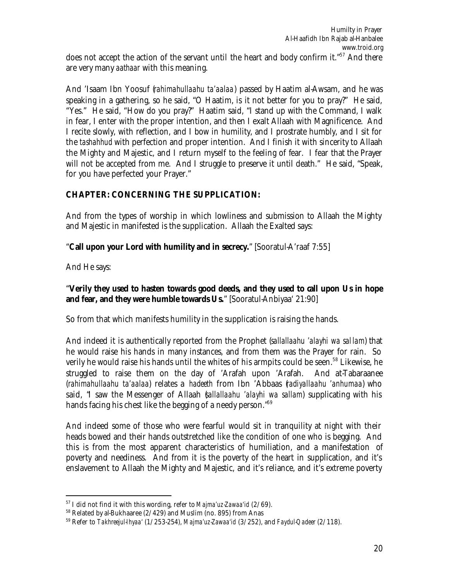And 'Isaam Ibn Yoosuf (*rahimahullaahu ta'aalaa*) passed by Haatim al-Awsam, and he was speaking in a gathering, so he said, "O Haatim, is it not better for you to pray?" He said, "Yes." He said, "How do you pray?" Haatim said, "I stand up with the Command, I walk in fear, I enter with the proper intention, and then I exalt Allaah with Magnificence. And I recite slowly, with reflection, and I bow in humility, and I prostrate humbly, and I sit for the *tashahhud* with perfection and proper intention. And I finish it with sincerity to Allaah the Mighty and Majestic, and I return myself to the feeling of fear. I fear that the Prayer will not be accepted from me. And I struggle to preserve it until death." He said, "Speak, for you have perfected your Prayer."

# **CHAPTER: CONCERNING THE SUPPLICATION:**

And from the types of worship in which lowliness and submission to Allaah the Mighty and Majestic in manifested is the supplication. Allaah the Exalted says:

# "**Call upon your Lord with humility and in secrecy.**" [Sooratul-A'raaf 7:55]

And He says:

 $\overline{a}$ 

#### "**Verily they used to hasten towards good deeds, and they used to call upon Us in hope and fear, and they were humble towards Us.**" [Sooratul-Anbiyaa' 21:90]

So from that which manifests humility in the supplication is raising the hands.

And indeed it is authentically reported from the Prophet (*sallallaahu 'alayhi wa sal lam*) that he would raise his hands in many instances, and from them was the Prayer for rain. So verily he would raise his hands until the whites of his armpits could be seen.<sup>58</sup> Likewise, he struggled to raise them on the day of 'Arafah upon 'Arafah. And at-Tabaraanee (*rahimahullaahu ta'aalaa*) relates a *hadeeth* from Ibn 'Abbaas (*radiyallaahu 'anhumaa*) who said, "I saw the Messenger of Allaah (*sallallaahu 'alayhi wa sallam*) supplicating with his hands facing his chest like the begging of a needy person."<sup>59</sup>

And indeed some of those who were fearful would sit in tranquility at night with their heads bowed and their hands outstretched like the condition of one who is begging. And this is from the most apparent characteristics of humiliation, and a manifestation of poverty and neediness. And from it is the poverty of the heart in supplication, and it's enslavement to Allaah the Mighty and Majestic, and it's reliance, and it's extreme poverty

<sup>57</sup> I did not find it with this wording, refer to *Majma'uz-Zawaa'id* (2/69).

<sup>58</sup> Related by al-Bukhaaree (2/429) and Muslim (no. 895) from Anas

<sup>59</sup> Refer to *Takhreejul-Ihyaa'* (1/253-254), *Majma'uz-Zawaa'id* (3/252), and *Faydul-Qadeer* (2/118).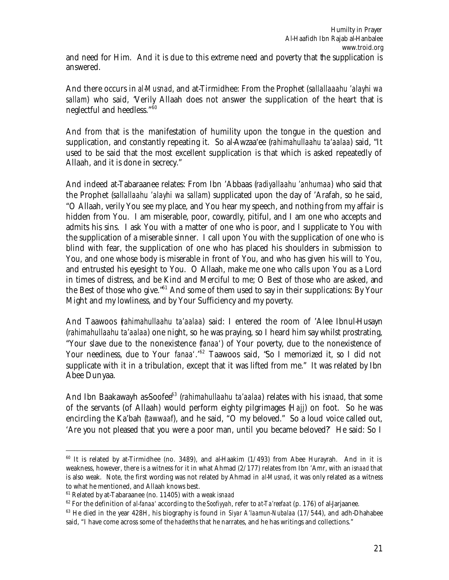and need for Him. And it is due to this extreme need and poverty that the supplication is answered.

And there occurs in *al-Musnad*, and at-Tirmidhee: From the Prophet (*sallallaaahu 'alayhi wa sallam*) who said, "Verily Allaah does not answer the supplication of the heart that is neglectful and heedless."<sup>60</sup>

And from that is the manifestation of humility upon the tongue in the question and supplication, and constantly repeating it. So al-Awzaa'ee (*rahimahullaahu ta'aalaa*) said, "It used to be said that the most excellent supplication is that which is asked repeatedly of Allaah, and it is done in secrecy."

And indeed at-Tabaraanee relates: From Ibn 'Abbaas (*radiyallaahu 'anhumaa*) who said that the Prophet (*sallallaahu 'alayhi wa sallam*) supplicated upon the day of 'Arafah, so he said, "O Allaah, verily You see my place, and You hear my speech, and nothing from my affair is hidden from You. I am miserable, poor, cowardly, pitiful, and I am one who accepts and admits his sins. I ask You with a matter of one who is poor, and I supplicate to You with the supplication of a miserable sinner. I call upon You with the supplication of one who is blind with fear, the supplication of one who has placed his shoulders in submission to You, and one whose body is miserable in front of You, and who has given his will to You, and entrusted his eyesight to You. O Allaah, make me one who calls upon You as a Lord in times of distress, and be Kind and Merciful to me; O Best of those who are asked, and the Best of those who give."<sup>61</sup> And some of them used to say in their supplications: By Your Might and my lowliness, and by Your Sufficiency and my poverty.

And Taawoos (*rahimahullaahu ta'aalaa*) said: I entered the room of 'Alee Ibnul-Husayn (*rahimahullaahu ta'aalaa*) one night, so he was praying, so I heard him say whilst prostrating, "Your slave due to the nonexistence (*fanaa'*) of Your poverty, due to the nonexistence of Your neediness, due to Your *fanaa'*.<sup>'62</sup> Taawoos said, 'So I memorized it, so I did not supplicate with it in a tribulation, except that it was lifted from me." It was related by Ibn Abee Dunyaa.

And Ibn Baakawayh as-Soofee<sup>63</sup> (*rahimahullaahu ta'aalaa*) relates with his *isnaad*, that some of the servants (of Allaah) would perform eighty pilgrimages (*Hajj*) on foot. So he was encircling the Ka'bah (*tawwaaf*), and he said, "O my beloved." So a loud voice called out, 'Are you not pleased that you were a poor man, until you became beloved?' He said: So I

 $60$  It is related by at-Tirmidhee (no. 3489), and al-Haakim  $(1/493)$  from Abee Hurayrah. And in it is weakness, however, there is a witness for it in what Ahmad (2/177) relates from Ibn 'Amr, with an *isnaad* that is also weak. Note, the first wording was not related by Ahmad in *al-Musnad*, it was only related as a witness to what he mentioned, and Allaah knows best.

<sup>61</sup> Related by at-Tabaraanee (no. 11405) with a weak *isnaad*

<sup>62</sup> For the definition of *al-fanaa'* according to the *Soofiyyah*, refer to *at-Ta'reefaat* (p. 176) of al-Jarjaanee.

<sup>63</sup> He died in the year 428H, his biography is found in *Siyar A'laamun-Nubalaa* (17/544), and adh-Dhahabee said, "I have come across some of the *hadeeths* that he narrates, and he has writings and collections."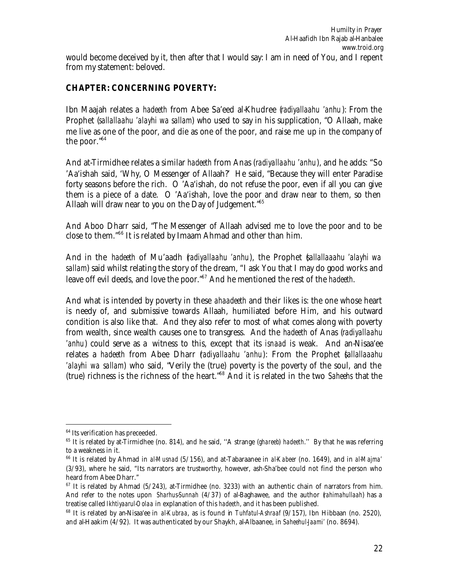## **CHAPTER: CONCERNING POVERTY:**

Ibn Maajah relates a *hadeeth* from Abee Sa'eed al-Khudree (*radiyallaahu 'anhu*): From the Prophet (*sallallaahu 'alayhi wa sallam*) who used to say in his supplication, "O Allaah, make me live as one of the poor, and die as one of the poor, and raise me up in the company of the poor."<sup>64</sup>

And at-Tirmidhee relates a similar *hadeeth* from Anas (*radiyallaahu 'anhu*), and he adds: "So 'Aa'ishah said, 'Why, O Messenger of Allaah?' He said, "Because they will enter Paradise forty seasons before the rich. O 'Aa'ishah, do not refuse the poor, even if all you can give them is a piece of a date. O 'Aa'ishah, love the poor and draw near to them, so then Allaah will draw near to you on the Day of Judgement.<sup>"65</sup>

And Aboo Dharr said, "The Messenger of Allaah advised me to love the poor and to be close to them."<sup>66</sup> It is related by Imaam Ahmad and other than him.

And in the *hadeeth* of Mu'aadh (*radiyallaahu 'anhu*), the Prophet (*sallallaaahu 'alayhi wa sallam*) said whilst relating the story of the dream, "I ask You that I may do good works and leave off evil deeds, and love the poor."<sup>67</sup> And he mentioned the rest of the *hadeeth*.

And what is intended by poverty in these *ahaadeeth* and their likes is: the one whose heart is needy of, and submissive towards Allaah, humiliated before Him, and his outward condition is also like that. And they also refer to most of what comes along with poverty from wealth, since wealth causes one to transgress. And the *hadeeth* of Anas (*radiyallaahu 'anhu*) could serve as a witness to this, except that its *isnaad* is weak. And an-Nisaa'ee relates a *hadeeth* from Abee Dharr (*radiyallaahu 'anhu*): From the Prophet (*sallallaaahu 'alayhi wa sallam*) who said, "Verily the (true) poverty is the poverty of the soul, and the (true) richness is the richness of the heart."<sup>68</sup> And it is related in the two *Saheehs* that the

<sup>&</sup>lt;sup>64</sup> Its verification has preceeded.

<sup>65</sup> It is related by at-Tirmidhee (no. 814), and he said, ''A strange (*ghareeb*) *hadeeth*.'' By that he was referring to a weakness in it.

<sup>66</sup> It is related by Ahmad in *al-Musnad* (5/156), and at-Tabaraanee in *al-Kabeer* (no. 1649), and in *al-Majma'* (3/93), where he said, "Its narrators are trustworthy, however, ash-Sha'bee could not find the person who heard from Abee Dharr."

 $67$  It is related by Ahmad (5/243), at-Tirmidhee (no. 3233) with an authentic chain of narrators from him. And refer to the notes upon *Sharhus-Sunnah* (4/37) of al-Baghawee, and the author (*rahimahullaah*) has a treatise called *Ikhtiyaarul-Oolaa* in explanation of this *hadeeth*, and it has been published.

<sup>68</sup> It is related by an-Nisaa'ee in *al-Kubraa*, as is found in *Tuhfatul-Ashraaf* (9/157), Ibn Hibbaan (no. 2520), and al-Haakim (4/92). It was authenticated by our Shaykh, al-Albaanee, in *Saheehul-Jaami'* (no. 8694).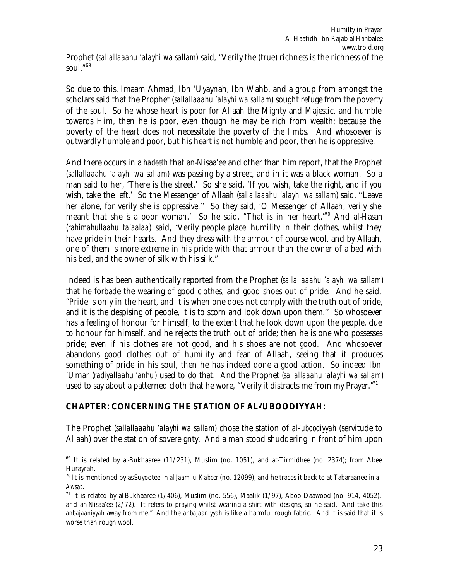So due to this, Imaam Ahmad, Ibn 'Uyaynah, Ibn Wahb, and a group from amongst the scholars said that the Prophet (*sallallaaahu 'alayhi wa sallam*) sought refuge from the poverty of the soul. So he whose heart is poor for Allaah the Mighty and Majestic, and humble towards Him, then he is poor, even though he may be rich from wealth; because the poverty of the heart does not necessitate the poverty of the limbs. And whosoever is outwardly humble and poor, but his heart is not humble and poor, then he is oppressive.

And there occurs in a *hadeeth* that an-Nisaa'ee and other than him report, that the Prophet (*sallallaaahu 'alayhi wa sallam*) was passing by a street, and in it was a black woman. So a man said to her, 'There is the street.' So she said, 'If you wish, take the right, and if you wish, take the left.' So the Messenger of Allaah (*sallallaaahu 'alayhi wa sallam*) said, ''Leave her alone, for verily she is oppressive.'' So they said, 'O Messenger of Allaah, verily she meant that she is a poor woman.' So he said, "That is in her heart."<sup>70</sup> And al-Hasan (*rahimahullaahu ta'aalaa*) said, "Verily people place humility in their clothes, whilst they have pride in their hearts. And they dress with the armour of course wool, and by Allaah, one of them is more extreme in his pride with that armour than the owner of a bed with his bed, and the owner of silk with his silk."

Indeed is has been authentically reported from the Prophet (*sallallaaahu 'alayhi wa sallam*) that he forbade the wearing of good clothes, and good shoes out of pride. And he said, "Pride is only in the heart, and it is when one does not comply with the truth out of pride, and it is the despising of people, it is to scorn and look down upon them.'' So whosoever has a feeling of honour for himself, to the extent that he look down upon the people, due to honour for himself, and he rejects the truth out of pride; then he is one who possesses pride; even if his clothes are not good, and his shoes are not good. And whosoever abandons good clothes out of humility and fear of Allaah, seeing that it produces something of pride in his soul, then he has indeed done a good action. So indeed Ibn 'Umar (*radiyallaahu 'anhu*) used to do that. And the Prophet (*sallallaaahu 'alayhi wa sallam*) used to say about a patterned cloth that he wore, "Verily it distracts me from my Prayer." $1$ 

# **CHAPTER: CONCERNING THE STATION OF AL-'UBOODIYYAH:**

The Prophet (*sallallaaahu 'alayhi wa sallam*) chose the station of *al-'uboodiyyah* (servitude to Allaah) over the station of sovereignty. And a man stood shuddering in front of him upon

 $\overline{a}$  $69$  It is related by al-Bukhaaree (11/231), Muslim (no. 1051), and at-Tirmidhee (no. 2374); from Abee Hurayrah.

<sup>70</sup> It is mentioned by as-Suyootee in *al-Jaami'ul-Kabeer* (no. 12099), and he traces it back to at-Tabaraanee in *al-Awsat*.

 $71$  It is related by al-Bukhaaree (1/406), Muslim (no. 556), Maalik (1/97), Aboo Daawood (no. 914, 4052), and an-Nisaa'ee (2/72). It refers to praying whilst wearing a shirt with designs, so he said, "And take this *anbajaaniyyah* away from me." And the *anbajaaniyyah* is like a harmful rough fabric. And it is said that it is worse than rough wool.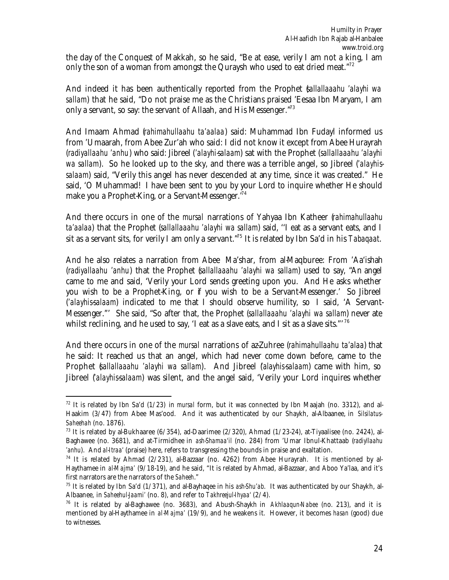the day of the Conquest of Makkah, so he said, "Be at ease, verily I am not a king, I am only the son of a woman from amongst the Quraysh who used to eat dried meat."<sup>72</sup>

And indeed it has been authentically reported from the Prophet (*sallallaaahu 'alayhi wa sallam*) that he said, "Do not praise me as the Christians praised 'Eesaa Ibn Maryam, I am only a servant, so say: the servant of Allaah, and His Messenger.<sup>"73</sup>

And Imaam Ahmad (*rahimahullaahu ta'aalaa*) said: Muhammad Ibn Fudayl informed us from 'Umaarah, from Abee Zur'ah who said: I did not know it except from Abee Hurayrah (*radiyallaahu 'anhu*) who said: Jibreel (*'alayhi-salaam*) sat with the Prophet (*sallallaaahu 'alayhi wa sallam*). So he looked up to the sky, and there was a terrible angel, so Jibreel (*'alayhissalaam*) said, "Verily this angel has never descended at any time, since it was created." He said, 'O Muhammad! I have been sent to you by your Lord to inquire whether He should make you a Prophet-King, or a Servant-Messenger.<sup>74</sup>

And there occurs in one of the *mursal* narrations of Yahyaa Ibn Katheer (*rahimahullaahu ta'aalaa*) that the Prophet (*sallallaaahu 'alayhi wa sallam*) said, ''I eat as a servant eats, and I sit as a servant sits, for verily I am only a servant."<sup>75</sup> It is related by Ibn Sa'd in his *Tabaqaat*.

And he also relates a narration from Abee Ma'shar, from al-Maqburee: From 'Aa'ishah (*radiyallaahu 'anhu*) that the Prophet (*sallallaaahu 'alayhi wa sallam*) used to say, "An angel came to me and said, 'Verily your Lord sends greeting upon you. And He asks whether you wish to be a Prophet-King, or if you wish to be a Servant-Messenger.' So Jibreel (*'alayhis-salaam*) indicated to me that I should observe humility, so I said, 'A Servant-Messenger."' She said, "So after that, the Prophet (*sallallaaahu 'alayhi wa sallam*) never ate whilst reclining, and he used to say, 'I eat as a slave eats, and I sit as a slave sits."<sup>76</sup>

And there occurs in one of the *mursal* narrations of az-Zuhree (*rahimahullaahu ta'alaa*) that he said: It reached us that an angel, which had never come down before, came to the Prophet (*sallallaaahu 'alayhi wa sallam*). And Jibreel (*'alayhis-salaam*) came with him, so Jibreel (*'alayhis-salaam*) was silent, and the angel said, 'Verily your Lord inquires whether

<sup>72</sup> It is related by Ibn Sa'd (1/23) in *mursal* form, but it was connected by Ibn Maajah (no. 3312), and al-Haakim (3/47) from Abee Mas'ood. And it was authenticated by our Shaykh, al-Albaanee, in *Silsilatus-Saheehah* (no. 1876).

<sup>&</sup>lt;sup>73</sup> It is related by al-Bukhaaree (6/354), ad-Daarimee (2/320), Ahmad (1/23-24), at-Tiyaalisee (no. 2424), al-Baghawee (no. 3681), and at-Tirmidhee in *ash-Shamaa'il* (no. 284) from 'Umar Ibnul-Khattaab (*radiyllaahu 'anhu*). And *al-Itraa'* (praise) here, refers to transgressing the bounds in praise and exaltation.

<sup>&</sup>lt;sup>74</sup> It is related by Ahmad (2/231), al-Bazzaar (no. 4262) from Abee Hurayrah. It is mentioned by al-Haythamee in *al-Majma'* (9/18-19), and he said, "It is related by Ahmad, al-Bazzaar, and Aboo Ya'laa, and it's first narrators are the narrators of the *Saheeh*."

<sup>75</sup> It is related by Ibn Sa'd (1/371), and al-Bayhaqee in his *ash-Shu'ab*. It was authenticated by our Shaykh, al-Albaanee, in *Saheehul-Jaami'* (no. 8), and refer to *Takhreejul-Ihyaa'* (2/4).

<sup>76</sup> It is related by al-Baghawee (no. 3683), and Abush-Shaykh in *Akhlaaqun-Nabee* (no. 213), and it is mentioned by al-Haythamee in *al-Majma'* (19/9), and he weakens it. However, it becomes *hasan* (good) due to witnesses.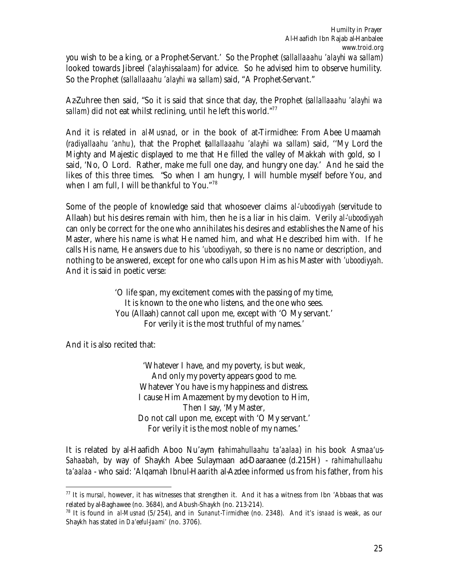you wish to be a king, or a Prophet-Servant.' So the Prophet (*sallallaaahu 'alayhi wa sallam*) looked towards Jibreel (*'alayhis-salaam*) for advice. So he advised him to observe humility. So the Prophet (*sallallaaahu 'alayhi wa sallam*) said, "A Prophet-Servant."

Az-Zuhree then said, "So it is said that since that day, the Prophet (*sallallaaahu 'alayhi wa sallam*) did not eat whilst reclining, until he left this world."<sup>77</sup>

And it is related in *al-Musnad*, or in the book of at-Tirmidhee: From Abee Umaamah (*radiyallaahu 'anhu*), that the Prophet (*sallallaaahu 'alayhi wa sallam*) said, ''My Lord the Mighty and Majestic displayed to me that He filled the valley of Makkah with gold, so I said, 'No, O Lord. Rather, make me full one day, and hungry one day.' And he said the likes of this three times. "So when I am hungry, I will humble myself before You, and when I am full, I will be thankful to You."<sup>78</sup>

Some of the people of knowledge said that whosoever claims *al-'uboodiyyah* (servitude to Allaah) but his desires remain with him, then he is a liar in his claim. Verily *al-'uboodiyyah* can only be correct for the one who annihilates his desires and establishes the Name of his Master, where his name is what He named him, and what He described him with. If he calls His name, He answers due to his *'uboodiyyah*, so there is no name or description, and nothing to be answered, except for one who calls upon Him as his Master with *'uboodiyyah*. And it is said in poetic verse:

> 'O life span, my excitement comes with the passing of my time, It is known to the one who listens, and the one who sees. You (Allaah) cannot call upon me, except with 'O My servant.' For verily it is the most truthful of my names.'

And it is also recited that:

 $\overline{a}$ 

'Whatever I have, and my poverty, is but weak, And only my poverty appears good to me. Whatever You have is my happiness and distress. I cause Him Amazement by my devotion to Him, Then I say, 'My Master, Do not call upon me, except with 'O My servant.' For verily it is the most noble of my names.'

It is related by al-Haafidh Aboo Nu'aym (*rahimahullaahu ta'aalaa*) in his book *Asmaa'us-Sahaabah*, by way of Shaykh Abee Sulaymaan ad-Daaraanee (d.215H) - *rahimahullaahu ta'aalaa* - who said: 'Alqamah Ibnul-Haarith al-Azdee informed us from his father, from his

<sup>77</sup> It is *mursal*, however, it has witnesses that strengthen it. And it has a witness from Ibn 'Abbaas that was related by al-Baghawee (no. 3684), and Abush-Shaykh (no. 213-214).

<sup>78</sup> It is found in *al-Musnad* (5/254), and in *Sunanut-Tirmidhee* (no. 2348). And it's *isnaad* is weak, as our Shaykh has stated in *Da'eeful-Jaami'* (no. 3706).